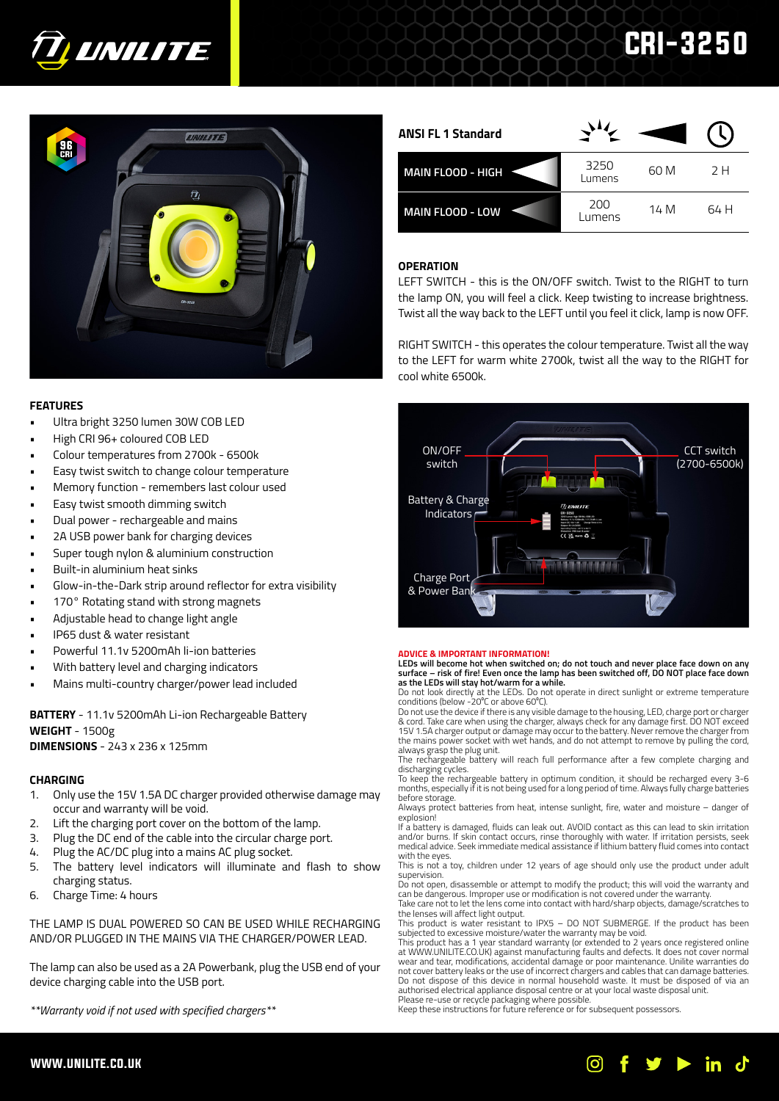

# EINILITE | 96  $\overline{u}$

# **FEATURES**

- Ultra bright 3250 lumen 30W COB LED
- High CRI 96+ coloured COB LED
- Colour temperatures from 2700k 6500k
- Easy twist switch to change colour temperature
- Memory function remembers last colour used
- Easy twist smooth dimming switch
- Dual power rechargeable and mains
- 2A USB power bank for charging devices
- Super tough nylon & aluminium construction
- Built-in aluminium heat sinks
- Glow-in-the-Dark strip around reflector for extra visibility
- 170° Rotating stand with strong magnets
- Adjustable head to change light angle
- IP65 dust & water resistant
- Powerful 11.1v 5200mAh li-ion batteries
- With battery level and charging indicators
- Mains multi-country charger/power lead included

**BATTERY** - 11.1v 5200mAh Li-ion Rechargeable Battery **WEIGHT** - 1500g **DIMENSIONS** - 243 x 236 x 125mm

# **CHARGING**

- 1. Only use the 15V 1.5A DC charger provided otherwise damage may occur and warranty will be void.
- 2. Lift the charging port cover on the bottom of the lamp.
- 3. Plug the DC end of the cable into the circular charge port.
- 4. Plug the AC/DC plug into a mains AC plug socket.
- 5. The battery level indicators will illuminate and flash to show charging status.
- 6. Charge Time: 4 hours

THE LAMP IS DUAL POWERED SO CAN BE USED WHILE RECHARGING AND/OR PLUGGED IN THE MAINS VIA THE CHARGER/POWER LEAD.

The lamp can also be used as a 2A Powerbank, plug the USB end of your device charging cable into the USB port.

*\*\*Warranty void if not used with specified chargers\*\**

| <b>ANSI FL 1 Standard</b> |                |      |      |
|---------------------------|----------------|------|------|
| <b>MAIN FLOOD - HIGH</b>  | 3250<br>Lumens | 60 M | 2 H  |
| <b>MAIN FLOOD - LOW</b>   | 200<br>Lumens  | 14 M | 64 H |

CRI-3250

# **OPERATION**

LEFT SWITCH - this is the ON/OFF switch. Twist to the RIGHT to turn the lamp ON, you will feel a click. Keep twisting to increase brightness. Twist all the way back to the LEFT until you feel it click, lamp is now OFF.

RIGHT SWITCH - this operates the colour temperature. Twist all the way to the LEFT for warm white 2700k, twist all the way to the RIGHT for cool white 6500k.



# **ADVICE & IMPORTANT INFORMATION!**

**LEDs will become hot when switched on; do not touch and never place face down on any surface – risk of fire! Even once the lamp has been switched off, DO NOT place face down as the LEDs will stay hot/warm for a while.** 

Do not look directly at the LEDs. Do not operate in direct sunlight or extreme temperature<br>conditions (below -20℃ or above 60℃).

Do not use the device if there is any visible damage to the housing, LED, charge port or charger & cord. Take care when using the charger, always check for any damage first. DO NOT exceed 15V 1.5A charger output or damage may occur to the battery. Never remove the charger from the mains power socket with wet hands, and do not attempt to remove by pulling the cord,

always grasp the plug unit. The rechargeable battery will reach full performance after a few complete charging and discharging cycles.

To keep the rechargeable battery in optimum condition, it should be recharged every 3-6 months, especially if it is not being used for a long period of time. Always fully charge batteries before storage.

Always protect batteries from heat, intense sunlight, fire, water and moisture – danger of explosion!

If a battery is damaged, fluids can leak out. AVOID contact as this can lead to skin irritation and/or burns. If skin contact occurs, rinse thoroughly with water. If irritation persists, seek medical advice. Seek immediate medical assistance if lithium battery fluid comes into contact with the eyes.

This is not a toy, children under 12 years of age should only use the product under adult supervision.

Do not open, disassemble or attempt to modify the product; this will void the warranty and can be dangerous. Improper use or modification is not covered under the warranty. Take care not to let the lens come into contact with hard/sharp objects, damage/scratches to

the lenses will affect light output. This product is water resistant to IPX5 – DO NOT SUBMERGE. If the product has been subjected to excessive moisture/water the warranty may be void.

This product has a 1 year standard warranty (or extended to 2 years once registered online at WWW.UNILITE.CO.UK) against manufacturing faults and defects. It does not cover normal wear and tear, modifications, accidental damage or poor maintenance. Unilite warranties do not cover battery leaks or the use of incorrect chargers and cables that can damage batteries. Do not dispose of this device in normal household waste. It must be disposed of via an authorised electrical appliance disposal centre or at your local waste disposal unit. Please re-use or recycle packaging where possible.

Keep these instructions for future reference or for subsequent possessors.